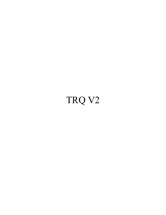## TRQ V2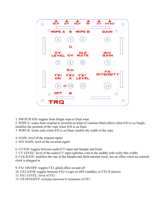

1. SWITCH S/D: toggles from Single wipe to Dual wipe

2. WIPE A: wipes from original to inverted (to kind of venetian blind effect) when S/D is on Single, modifies the position of the wipe when S/D is on Dual.

3. WIPE B: works only when S/D is on Dual, modify the width of the wipe

4. GAIN: level of the original signal

5. INV GAIN: level of the inverted signal

6. CV/S/H: toggles between audio/CV input and Sample and Hold

7. CV LEVEL: level of the audio/CV input (glitches a bit in the middle with really thin width)

8. CLK RATE: modifies the rate of the Sample and Hold internal clock, has no effect when an external clock is plugged in

9. FX1 ON/OFF: toggles FX1 glitch effect on and off 10. FX2 A/O/B: toggles between FX2 A (up), to OFF (middle), to FX2 B (down) 11. FX1 LEVEL: level of FX1 12. FX INTESITY: switches between 8 variations of FX1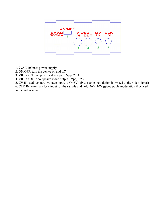

- 1. 9VAC 200mA: power supply
- 2. ON/OFF: turn the device on and off
- 3. VIDEO IN: composite video input 1Vpp, 75Ω
- 4. VIDEO OUT: composite video output 1Vpp, 75Ω
- 5. CV IN: audio/control voltage input, -5V/+5V (gives stable modulation if synced to the video signal)

6. CLK IN: external clock input for the sample and hold, 0V/+10V (gives stable modulation if synced to the video signal)